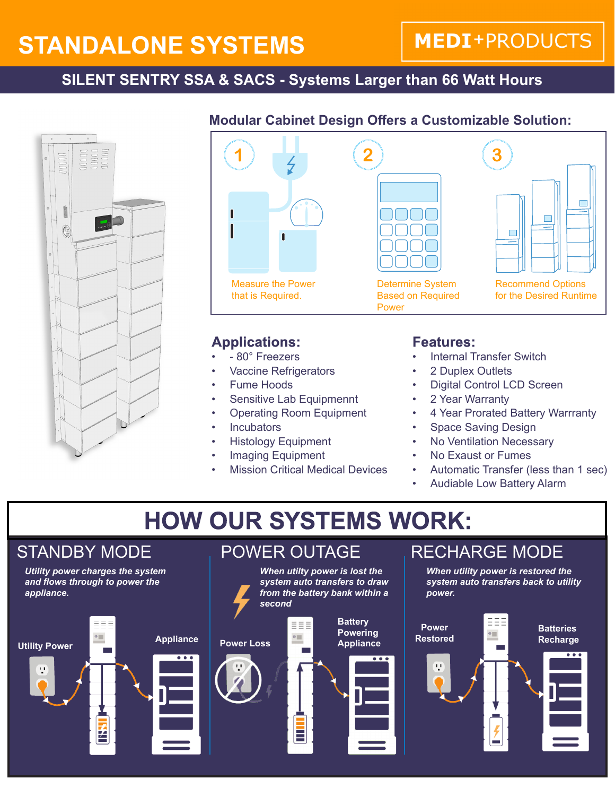# **STANDALONE SYSTEMS**

# **MEDI+PRODUCTS**

### **SILENT SENTRY SSA & SACS - Systems Larger than 66 Watt Hours**



### **Modular Cabinet Design Offers a Customizable Solution:**



### **Applications:**

- - 80° Freezers
- **Vaccine Refrigerators**
- Fume Hoods
- Sensitive Lab Equipmennt
- Operating Room Equipment
- **Incubators**
- Histology Equipment
- Imaging Equipment
- **Mission Critical Medical Devices**

### **Features:**

- Internal Transfer Switch
- 2 Duplex Outlets
- Digital Control LCD Screen
- 2 Year Warranty
- 4 Year Prorated Battery Warrranty
- **Space Saving Design**
- **No Ventilation Necessary**
- No Exaust or Fumes
- Automatic Transfer (less than 1 sec)
- Audiable Low Battery Alarm

# **HOW OUR SYSTEMS WORK:**